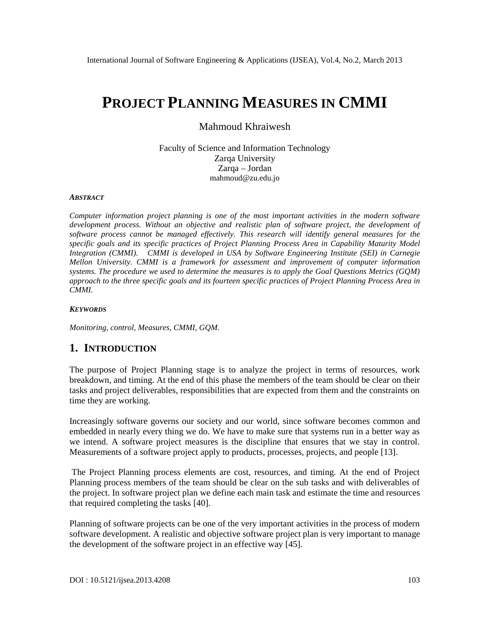# PROJECT PLANNING MEASURES IN CMMI

## Mahmoud Khraiwesh

Faculty of Science and Information Technology Zarga University Zarqa€Jordan [mahmoud@zu.ed](mailto:mahmoud@zu.edu)u.jo

#### **ABSTRACT**

Computer information project planning is one of the most important activities in the modern software development process. Without an objective and realistic plan of software project, the development of software process cannot be managed effectivelitions researchwill identify general measures for the specific goals and its specific practices of Project Planr<sub>mgcess</sub> Area in Capability Maturity Model Integration (CMMI). CMMI is developeint USAby Software Engineering Institute (SEI) Charnegie Mellon University. CMMI is a framework for assessment and improvement of computer information systems. The procedure we used to determine the measures is to apply the Goal Questions Metrics (GQM) approach to the three specific goals and its fourteen specifictipes of Project Planning rocess Area in CMMI.

#### **KEYWORDS**

Monitoring, control, Measures, CMMI, GQM.

## 1. INTRODUCTION

The purpose of Project Planning stage is to analyze the project in terms of resources, work breakdown, and timing. At the end of thorisphase the members of the team should be clear on their tasks and project deliverables, responsibilities that are expected from them and the constraints on time they are working.

Increasingly software governs our society and our world, since software **becomm** mon and embedded in nearly every thing we do. We have to make sure that systems run in a better way as we intend. A software project measures is the discipline that ensures that we stay in control. Measurements of a software project apply to products usesses, projects, and people [13].

The Project Planning process elements are cost, resources, and timing. At the end of Project Planning process members of the team should be clear on the sub tasks and with deliverables of the project. In software project plan we define each main tas **est indeted the time and resources** that required completing the tasks).

Planning of sitware projects can be one of the very important activities in the process of modern software development. A realistic and objective software project plan is very tampto manage the development of the software project in an effective May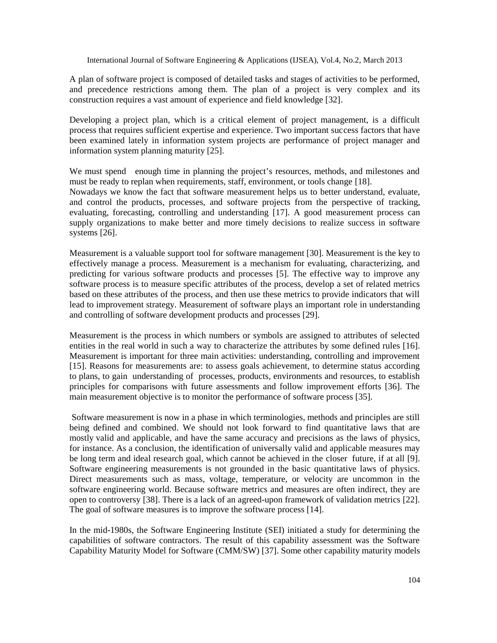A plan of software project is composed of detailed tasks and stages of activities to be performed, and precedence restrictions among them. The plan of a project is very complex and its construction requires a vast amount of experience and field knowledge [32].

Developing a project plan, which is a critical element of project management, is a difficult process that requires sufficient expertise and experience. Two important success factors that have been examined lately in information system projects are performance of project manager and information system planning maturity [25].

We must spend enough time in planning the project's resources, methods, and milestones and must be ready to replan when requirements, staff, environment, or tools change [18].

Nowadays we know the fact that software measurement helps us to better understand, evaluate, and control the products, processes, and software projects from the perspective of tracking, evaluating, forecasting, controlling and understanding [17]. A good measurement process can supply organizations to make better and more timely decisions to realize success in software systems [26].

Measurement is a valuable support tool for software management [30]. Measurement is the key to effectively manage a process. Measurement is a mechanism for evaluating, characterizing, and predicting for various software products and processes [5]. The effective way to improve any software process is to measure specific attributes of the process, develop a set of related metrics based on these attributes of the process, and then use these metrics to provide indicators that will lead to improvement strategy. Measurement of software plays an important role in understanding and controlling of software development products and processes [29].

Measurement is the process in which numbers or symbols are assigned to attributes of selected entities in the real world in such a way to characterize the attributes by some defined rules [16]. Measurement is important for three main activities: understanding, controlling and improvement [15]. Reasons for measurements are: to assess goals achievement, to determine status according to plans, to gain understanding of processes, products, environments and resources, to establish principles for comparisons with future assessments and follow improvement efforts [36]. The main measurement objective is to monitor the performance of software process [35].

Software measurement is now in a phase in which terminologies, methods and principles are still being defined and combined. We should not look forward to find quantitative laws that are mostly valid and applicable, and have the same accuracy and precisions as the laws of physics, for instance. As a conclusion, the identification of universally valid and applicable measures may be long term and ideal research goal, which cannot be achieved in the closer future, if at all [9]. Software engineering measurements is not grounded in the basic quantitative laws of physics. Direct measurements such as mass, voltage, temperature, or velocity are uncommon in the software engineering world. Because software metrics and measures are often indirect, they are open to controversy [38]. There is a lack of an agreed-upon framework of validation metrics [22]. The goal of software measures is to improve the software process [14].

In the mid-1980s, the Software Engineering Institute (SEI) initiated a study for determining the capabilities of software contractors. The result of this capability assessment was the Software Capability Maturity Model for Software (CMM/SW) [37]. Some other capability maturity models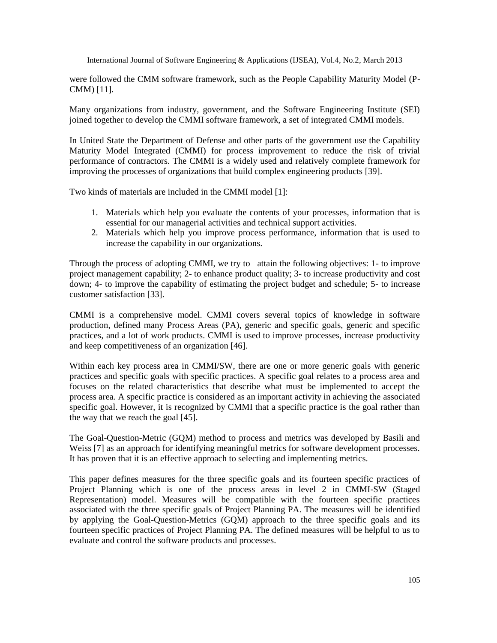were followed the CMM software framework, such as the People Capability Maturity Model (P-CMM) [11].

Many organizations from industry, government, and the Software Engineering Institute (SEI) joined together to develop the CMMI software framework, a set of integrated CMMI models.

In United State the Department of Defense and other parts of the government use the Capability Maturity Model Integrated (CMMI) for process improvement to reduce the risk of trivial performance of contractors. The CMMI is a widely used and relatively complete framework for improving the processes of organizations that build complex engineering products [39].

Two kinds of materials are included in the CMMI model [1]:

- 1. Materials which help you evaluate the contents of your processes, information that is essential for our managerial activities and technical support activities.
- 2. Materials which help you improve process performance, information that is used to increase the capability in our organizations.

Through the process of adopting CMMI, we try to attain the following objectives: 1- to improve project management capability; 2- to enhance product quality; 3- to increase productivity and cost down; 4- to improve the capability of estimating the project budget and schedule; 5- to increase customer satisfaction [33].

CMMI is a comprehensive model. CMMI covers several topics of knowledge in software production, defined many Process Areas (PA), generic and specific goals, generic and specific practices, and a lot of work products. CMMI is used to improve processes, increase productivity and keep competitiveness of an organization [46].

Within each key process area in CMMI/SW, there are one or more generic goals with generic practices and specific goals with specific practices. A specific goal relates to a process area and focuses on the related characteristics that describe what must be implemented to accept the process area. A specific practice is considered as an important activity in achieving the associated specific goal. However, it is recognized by CMMI that a specific practice is the goal rather than the way that we reach the goal [45].

The Goal-Question-Metric (GQM) method to process and metrics was developed by Basili and Weiss [7] as an approach for identifying meaningful metrics for software development processes. It has proven that it is an effective approach to selecting and implementing metrics.

This paper defines measures for the three specific goals and its fourteen specific practices of Project Planning which is one of the process areas in level 2 in CMMI-SW (Staged Representation) model. Measures will be compatible with the fourteen specific practices associated with the three specific goals of Project Planning PA. The measures will be identified by applying the Goal-Question-Metrics (GQM) approach to the three specific goals and its fourteen specific practices of Project Planning PA. The defined measures will be helpful to us to evaluate and control the software products and processes.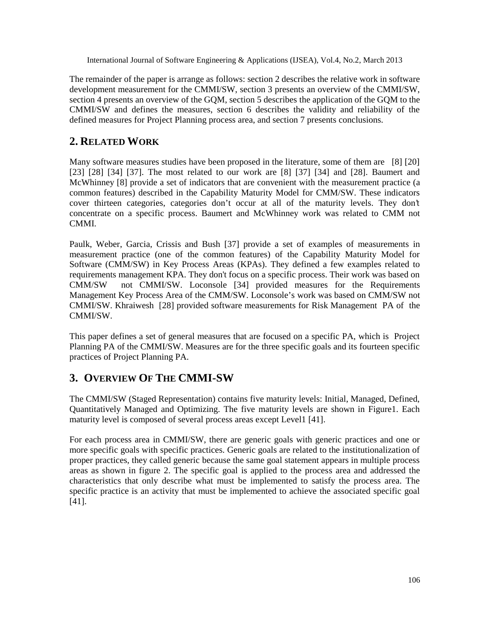The remainder of the paper is arrange as follows: section 2 describes the relative work in software development measurement for the CMMI/SW, section 3 presents an overview of the CMMI/SW, section 4 presents an overview of the GQM, section 5 describes the application of the GQM to the CMMI/SW and defines the measures, section 6 describes the validity and reliability of the defined measures for Project Planning process area, and section 7 presents conclusions.

# **2. RELATED WORK**

Many software measures studies have been proposed in the literature, some of them are [8] [20] [23] [28] [34] [37]. The most related to our work are [8] [37] [34] and [28]. Baumert and McWhinney [8] provide a set of indicators that are convenient with the measurement practice (a common features) described in the Capability Maturity Model for CMM/SW. These indicators cover thirteen categories, categories don't occur at all of the maturity levels. They don't concentrate on a specific process. Baumert and McWhinney work was related to CMM not CMMI.

Paulk, Weber, Garcia, Crissis and Bush [37] provide a set of examples of measurements in measurement practice (one of the common features) of the Capability Maturity Model for Software (CMM/SW) in Key Process Areas (KPAs). They defined a few examples related to requirements management KPA. They don't focus on a specific process. Their work was based on CMM/SW not CMMI/SW. Loconsole [34] provided measures for the Requirements Management Key Process Area of the CMM/SW. Loconsole's work was based on CMM/SW not CMMI/SW. Khraiwesh [28] provided software measurements for Risk Management PA of the CMMI/SW.

This paper defines a set of general measures that are focused on a specific PA, which is Project Planning PA of the CMMI/SW. Measures are for the three specific goals and its fourteen specific practices of Project Planning PA.

# **3. OVERVIEW OF THE CMMI-SW**

The CMMI/SW (Staged Representation) contains five maturity levels: Initial, Managed, Defined, Quantitatively Managed and Optimizing. The five maturity levels are shown in Figure1. Each maturity level is composed of several process areas except Level1 [41].

For each process area in CMMI/SW, there are generic goals with generic practices and one or more specific goals with specific practices. Generic goals are related to the institutionalization of proper practices, they called generic because the same goal statement appears in multiple process areas as shown in figure 2. The specific goal is applied to the process area and addressed the characteristics that only describe what must be implemented to satisfy the process area. The specific practice is an activity that must be implemented to achieve the associated specific goal [41].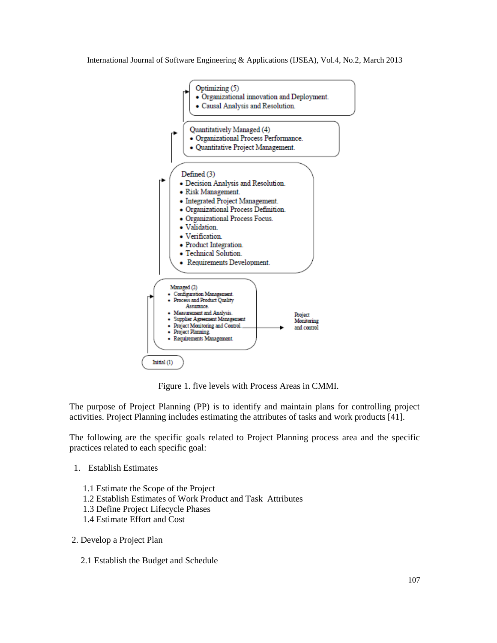

Figure 1. five levels with Process Areas in CMMI.

The purpose of Project Planning (PP) is to identify and maintain plans for controlling project activities. Project Planning includes estimating the attributes of tasks and work products [41].

The following are the specific goals related to Project Planning process area and the specific practices related to each specific goal:

- 1. Establish Estimates
	- 1.1 Estimate the Scope of the Project
	- 1.2 Establish Estimates of Work Product and Task Attributes
	- 1.3 Define Project Lifecycle Phases
	- 1.4 Estimate Effort and Cost
- 2. Develop a Project Plan
	- 2.1 Establish the Budget and Schedule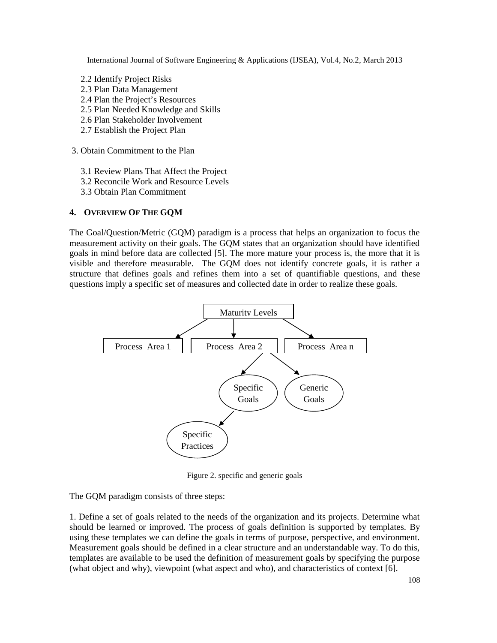- 2.2 Identify Project Risks
- 2.3 Plan Data Management
- 2.4 Plan the Project's Resources
- 2.5 Plan Needed Knowledge and Skills
- 2.6 Plan Stakeholder Involvement
- 2.7 Establish the Project Plan
- 3. Obtain Commitment to the Plan
	- 3.1 Review Plans That Affect the Project
	- 3.2 Reconcile Work and Resource Levels
	- 3.3 Obtain Plan Commitment

## **4. OVERVIEW OF THE GQM**

The Goal/Question/Metric (GQM) paradigm is a process that helps an organization to focus the measurement activity on their goals. The GQM states that an organization should have identified goals in mind before data are collected [5]. The more mature your process is, the more that it is visible and therefore measurable. The GQM does not identify concrete goals, it is rather a structure that defines goals and refines them into a set of quantifiable questions, and these questions imply a specific set of measures and collected date in order to realize these goals.



Figure 2. specific and generic goals

The GQM paradigm consists of three steps:

1. Define a set of goals related to the needs of the organization and its projects. Determine what should be learned or improved. The process of goals definition is supported by templates. By using these templates we can define the goals in terms of purpose, perspective, and environment. Measurement goals should be defined in a clear structure and an understandable way. To do this, templates are available to be used the definition of measurement goals by specifying the purpose (what object and why), viewpoint (what aspect and who), and characteristics of context [6].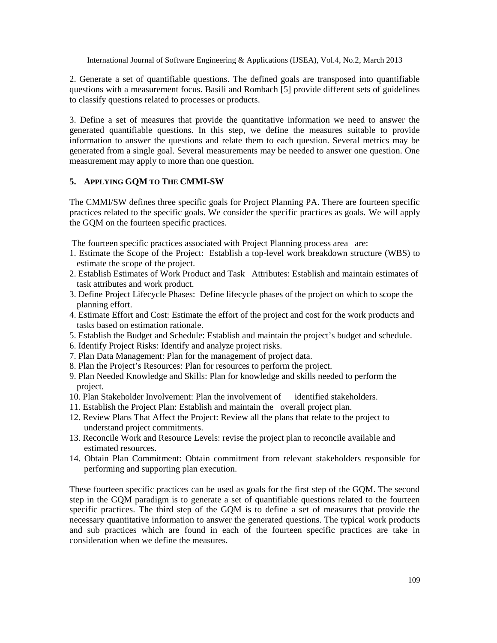2. Generate a set of quantifiable questions. The defined goals are transposed into quantifiable questions with a measurement focus. Basili and Rombach [5] provide different sets of guidelines to classify questions related to processes or products.

3. Define a set of measures that provide the quantitative information we need to answer the generated quantifiable questions. In this step, we define the measures suitable to provide information to answer the questions and relate them to each question. Several metrics may be generated from a single goal. Several measurements may be needed to answer one question. One measurement may apply to more than one question.

#### **5. APPLYING GQM TO THE CMMI-SW**

The CMMI/SW defines three specific goals for Project Planning PA. There are fourteen specific practices related to the specific goals. We consider the specific practices as goals. We will apply the GQM on the fourteen specific practices.

The fourteen specific practices associated with Project Planning process area are:

- 1. Estimate the Scope of the Project: Establish a top-level work breakdown structure (WBS) to estimate the scope of the project.
- 2. Establish Estimates of Work Product and Task Attributes: Establish and maintain estimates of task attributes and work product.
- 3. Define Project Lifecycle Phases: Define lifecycle phases of the project on which to scope the planning effort.
- 4. Estimate Effort and Cost: Estimate the effort of the project and cost for the work products and tasks based on estimation rationale.
- 5. Establish the Budget and Schedule: Establish and maintain the project's budget and schedule.
- 6. Identify Project Risks: Identify and analyze project risks.
- 7. Plan Data Management: Plan for the management of project data.
- 8. Plan the Project's Resources: Plan for resources to perform the project.
- 9. Plan Needed Knowledge and Skills: Plan for knowledge and skills needed to perform the project.
- 10. Plan Stakeholder Involvement: Plan the involvement of identified stakeholders.
- 11. Establish the Project Plan: Establish and maintain the overall project plan.
- 12. Review Plans That Affect the Project: Review all the plans that relate to the project to understand project commitments.
- 13. Reconcile Work and Resource Levels: revise the project plan to reconcile available and estimated resources.
- 14. Obtain Plan Commitment: Obtain commitment from relevant stakeholders responsible for performing and supporting plan execution.

These fourteen specific practices can be used as goals for the first step of the GQM. The second step in the GQM paradigm is to generate a set of quantifiable questions related to the fourteen specific practices. The third step of the GQM is to define a set of measures that provide the necessary quantitative information to answer the generated questions. The typical work products and sub practices which are found in each of the fourteen specific practices are take in consideration when we define the measures.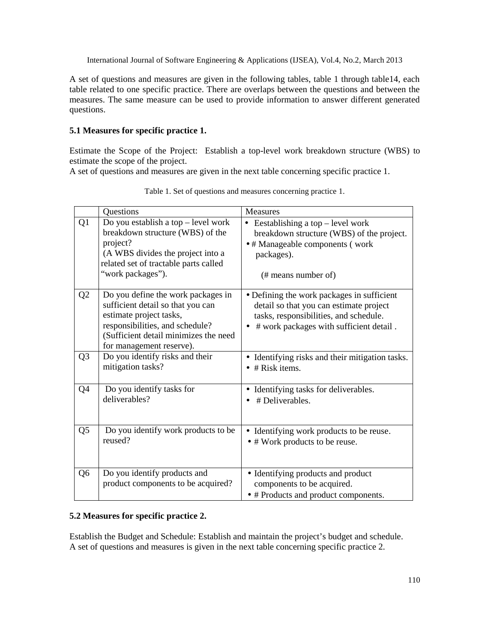A set of questions and measures are given in the following tables, table 1 through table14, each table related to one specific practice. There are overlaps between the questions and between the measures. The same measure can be used to provide information to answer different generated questions.

#### **5.1 Measures for specific practice 1.**

Estimate the Scope of the Project: Establish a top-level work breakdown structure (WBS) to estimate the scope of the project.

A set of questions and measures are given in the next table concerning specific practice 1.

|                | Questions                                                                                                                                                                                                  | Measures                                                                                                                                                                   |
|----------------|------------------------------------------------------------------------------------------------------------------------------------------------------------------------------------------------------------|----------------------------------------------------------------------------------------------------------------------------------------------------------------------------|
| Q <sub>1</sub> | Do you establish a top $-$ level work<br>breakdown structure (WBS) of the<br>project?<br>(A WBS divides the project into a<br>related set of tractable parts called<br>"work packages").                   | Eestablishing a top – level work<br>$\bullet$<br>breakdown structure (WBS) of the project.<br>• # Manageable components (work<br>packages).<br>(# means number of)         |
| Q2             | Do you define the work packages in<br>sufficient detail so that you can<br>estimate project tasks,<br>responsibilities, and schedule?<br>(Sufficient detail minimizes the need<br>for management reserve). | • Defining the work packages in sufficient<br>detail so that you can estimate project<br>tasks, responsibilities, and schedule.<br># work packages with sufficient detail. |
| Q <sub>3</sub> | Do you identify risks and their<br>mitigation tasks?                                                                                                                                                       | Identifying risks and their mitigation tasks.<br>$\bullet$ # Risk items.                                                                                                   |
| Q4             | Do you identify tasks for<br>deliverables?                                                                                                                                                                 | Identifying tasks for deliverables.<br># Deliverables.                                                                                                                     |
| Q <sub>5</sub> | Do you identify work products to be<br>reused?                                                                                                                                                             | Identifying work products to be reuse.<br>٠<br>• # Work products to be reuse.                                                                                              |
| Q <sub>6</sub> | Do you identify products and<br>product components to be acquired?                                                                                                                                         | • Identifying products and product<br>components to be acquired.<br>• # Products and product components.                                                                   |

Table 1. Set of questions and measures concerning practice 1.

#### **5.2 Measures for specific practice 2.**

Establish the Budget and Schedule: Establish and maintain the project's budget and schedule. A set of questions and measures is given in the next table concerning specific practice 2.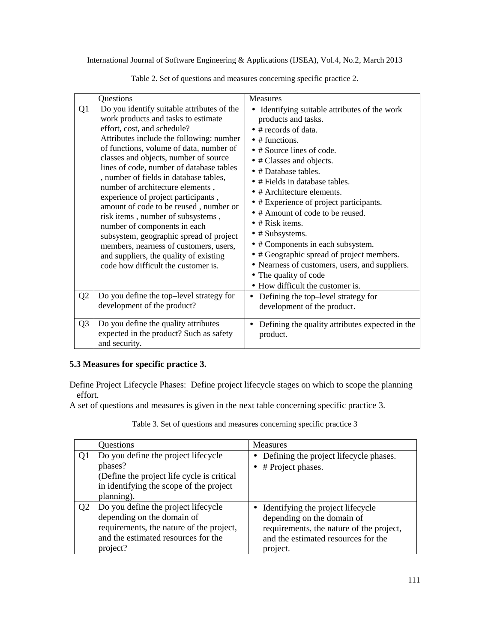|                | Questions                                                                                                                                                                                                                                                                                                                                                                                                                                                                                                                                                                                                                                                                                              | Measures                                                                                                                                                                                                                                                                                                                                                                                                                                                                                                                                                                                                                                                         |
|----------------|--------------------------------------------------------------------------------------------------------------------------------------------------------------------------------------------------------------------------------------------------------------------------------------------------------------------------------------------------------------------------------------------------------------------------------------------------------------------------------------------------------------------------------------------------------------------------------------------------------------------------------------------------------------------------------------------------------|------------------------------------------------------------------------------------------------------------------------------------------------------------------------------------------------------------------------------------------------------------------------------------------------------------------------------------------------------------------------------------------------------------------------------------------------------------------------------------------------------------------------------------------------------------------------------------------------------------------------------------------------------------------|
| Q1             | Do you identify suitable attributes of the<br>work products and tasks to estimate<br>effort, cost, and schedule?<br>Attributes include the following: number<br>of functions, volume of data, number of<br>classes and objects, number of source<br>lines of code, number of database tables<br>, number of fields in database tables,<br>number of architecture elements,<br>experience of project participants,<br>amount of code to be reused, number or<br>risk items, number of subsystems,<br>number of components in each<br>subsystem, geographic spread of project<br>members, nearness of customers, users,<br>and suppliers, the quality of existing<br>code how difficult the customer is. | Identifying suitable attributes of the work<br>$\bullet$<br>products and tasks.<br>• # records of data.<br>$\bullet$ # functions.<br>$\bullet$ # Source lines of code.<br>$\bullet$ # Classes and objects.<br>$\bullet$ # Database tables.<br>$\bullet$ # Fields in database tables.<br>$\bullet$ # Architecture elements.<br>• # Experience of project participants.<br>• # Amount of code to be reused.<br>$\bullet$ # Risk items.<br>$\bullet$ # Subsystems.<br>• # Components in each subsystem.<br>• # Geographic spread of project members.<br>• Nearness of customers, users, and suppliers.<br>• The quality of code<br>• How difficult the customer is. |
| Q <sub>2</sub> | Do you define the top-level strategy for<br>development of the product?                                                                                                                                                                                                                                                                                                                                                                                                                                                                                                                                                                                                                                | Defining the top-level strategy for<br>development of the product.                                                                                                                                                                                                                                                                                                                                                                                                                                                                                                                                                                                               |
| Q <sub>3</sub> | Do you define the quality attributes<br>expected in the product? Such as safety<br>and security.                                                                                                                                                                                                                                                                                                                                                                                                                                                                                                                                                                                                       | Defining the quality attributes expected in the<br>product.                                                                                                                                                                                                                                                                                                                                                                                                                                                                                                                                                                                                      |

Table 2. Set of questions and measures concerning specific practice 2.

## **5.3 Measures for specific practice 3.**

Define Project Lifecycle Phases: Define project lifecycle stages on which to scope the planning effort.

A set of questions and measures is given in the next table concerning specific practice 3.

|                | Questions                                                                                                                                                        | <b>Measures</b>                                                                                                                                                |
|----------------|------------------------------------------------------------------------------------------------------------------------------------------------------------------|----------------------------------------------------------------------------------------------------------------------------------------------------------------|
| Q <sub>1</sub> | Do you define the project lifecycle<br>phases?<br>(Define the project life cycle is critical<br>in identifying the scope of the project<br>planning).            | Defining the project lifecycle phases.<br>$\bullet$<br># Project phases.                                                                                       |
| Q <sub>2</sub> | Do you define the project lifecycle<br>depending on the domain of<br>requirements, the nature of the project,<br>and the estimated resources for the<br>project? | Identifying the project lifecycle<br>depending on the domain of<br>requirements, the nature of the project,<br>and the estimated resources for the<br>project. |

Table 3. Set of questions and measures concerning specific practice 3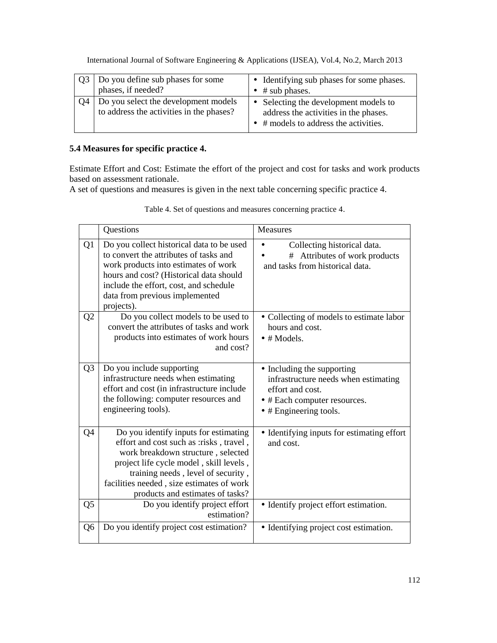| Do you define sub phases for some<br>phases, if needed?                          | • Identifying sub phases for some phases.<br>$\bullet$ # sub phases.                                                            |
|----------------------------------------------------------------------------------|---------------------------------------------------------------------------------------------------------------------------------|
| Do you select the development models<br>to address the activities in the phases? | • Selecting the development models to<br>address the activities in the phases.<br>$\bullet$ # models to address the activities. |

## **5.4 Measures for specific practice 4.**

Estimate Effort and Cost: Estimate the effort of the project and cost for tasks and work products based on assessment rationale.

A set of questions and measures is given in the next table concerning specific practice 4.

|                | Questions                                                                                                                                                                                                                                                                                | Measures                                                                                                                                                 |  |  |
|----------------|------------------------------------------------------------------------------------------------------------------------------------------------------------------------------------------------------------------------------------------------------------------------------------------|----------------------------------------------------------------------------------------------------------------------------------------------------------|--|--|
| Q <sub>1</sub> | Do you collect historical data to be used<br>to convert the attributes of tasks and<br>work products into estimates of work<br>hours and cost? (Historical data should<br>include the effort, cost, and schedule<br>data from previous implemented<br>projects).                         | Collecting historical data.<br>$\bullet$<br>Attributes of work products<br>#<br>and tasks from historical data.                                          |  |  |
| Q <sub>2</sub> | Do you collect models to be used to<br>convert the attributes of tasks and work<br>products into estimates of work hours<br>and cost?                                                                                                                                                    | • Collecting of models to estimate labor<br>hours and cost.<br>$\bullet$ # Models.                                                                       |  |  |
| Q <sub>3</sub> | Do you include supporting<br>infrastructure needs when estimating<br>effort and cost (in infrastructure include<br>the following: computer resources and<br>engineering tools).                                                                                                          | • Including the supporting<br>infrastructure needs when estimating<br>effort and cost.<br>• # Each computer resources.<br>$\bullet$ # Engineering tools. |  |  |
| Q4             | Do you identify inputs for estimating<br>effort and cost such as :risks, travel,<br>work breakdown structure, selected<br>project life cycle model, skill levels,<br>training needs, level of security,<br>facilities needed, size estimates of work<br>products and estimates of tasks? | • Identifying inputs for estimating effort<br>and cost.                                                                                                  |  |  |
| Q <sub>5</sub> | Do you identify project effort<br>estimation?                                                                                                                                                                                                                                            | • Identify project effort estimation.                                                                                                                    |  |  |
| Q <sub>6</sub> | Do you identify project cost estimation?                                                                                                                                                                                                                                                 | • Identifying project cost estimation.                                                                                                                   |  |  |

Table 4. Set of questions and measures concerning practice 4.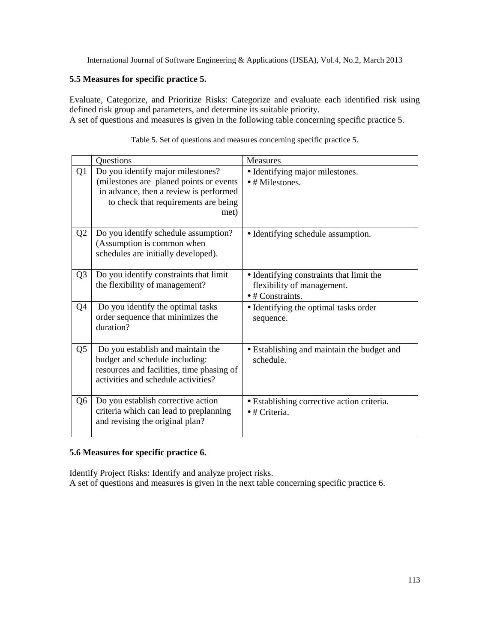#### **5.5 Measures for specific practice 5.**

Evaluate, Categorize, and Prioritize Risks: Categorize and evaluate each identified risk using defined risk group and parameters, and determine its suitable priority. A set of questions and measures is given in the following table concerning specific practice 5.

|                | Questions                                                                                                                                                              | <b>Measures</b>                                                                                    |
|----------------|------------------------------------------------------------------------------------------------------------------------------------------------------------------------|----------------------------------------------------------------------------------------------------|
| Q1             | Do you identify major milestones?<br>(milestones are planed points or events<br>in advance, then a review is performed<br>to check that requirements are being<br>met) | • Identifying major milestones.<br>$\bullet$ # Milestones.                                         |
| Q <sub>2</sub> | Do you identify schedule assumption?<br>(Assumption is common when<br>schedules are initially developed).                                                              | • Identifying schedule assumption.                                                                 |
| Q <sub>3</sub> | Do you identify constraints that limit<br>the flexibility of management?                                                                                               | • Identifying constraints that limit the<br>flexibility of management.<br>$\bullet$ # Constraints. |
| Q4             | Do you identify the optimal tasks<br>order sequence that minimizes the<br>duration?                                                                                    | • Identifying the optimal tasks order<br>sequence.                                                 |
| Q5             | Do you establish and maintain the<br>budget and schedule including:<br>resources and facilities, time phasing of<br>activities and schedule activities?                | • Establishing and maintain the budget and<br>schedule.                                            |
| Q6             | Do you establish corrective action<br>criteria which can lead to preplanning<br>and revising the original plan?                                                        | • Establishing corrective action criteria.<br>$\bullet$ # Criteria.                                |

Table 5. Set of questions and measures concerning specific practice 5.

#### **5.6 Measures for specific practice 6.**

Identify Project Risks: Identify and analyze project risks. A set of questions and measures is given in the next table concerning specific practice 6.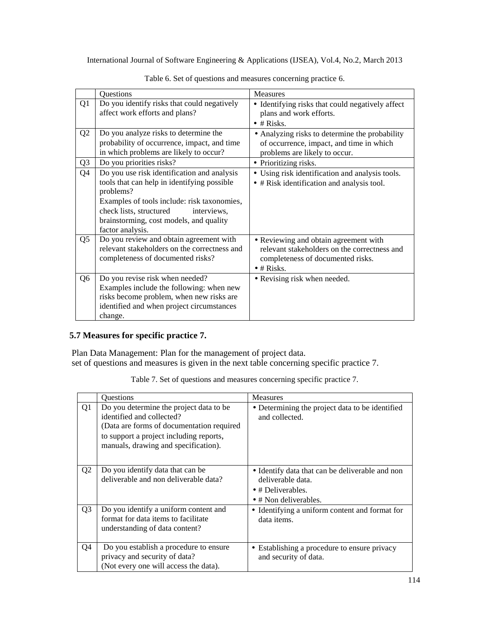|                                  | Questions                                                                                                                                                                                                                                                       | <b>Measures</b>                                                                                                                                      |  |
|----------------------------------|-----------------------------------------------------------------------------------------------------------------------------------------------------------------------------------------------------------------------------------------------------------------|------------------------------------------------------------------------------------------------------------------------------------------------------|--|
| Q <sub>1</sub>                   | Do you identify risks that could negatively<br>affect work efforts and plans?                                                                                                                                                                                   | • Identifying risks that could negatively affect<br>plans and work efforts.<br>$\bullet$ # Risks.                                                    |  |
| Q <sub>2</sub><br>Q <sub>3</sub> | Do you analyze risks to determine the<br>probability of occurrence, impact, and time<br>in which problems are likely to occur?<br>Do you priorities risks?                                                                                                      | • Analyzing risks to determine the probability<br>of occurrence, impact, and time in which<br>problems are likely to occur.<br>• Prioritizing risks. |  |
| Q4                               | Do you use risk identification and analysis<br>tools that can help in identifying possible<br>problems?<br>Examples of tools include: risk taxonomies,<br>check lists, structured<br>interviews,<br>brainstorming, cost models, and quality<br>factor analysis. | Using risk identification and analysis tools.<br>$\bullet$<br>$\bullet$ # Risk identification and analysis tool.                                     |  |
| Q <sub>5</sub>                   | Do you review and obtain agreement with<br>relevant stakeholders on the correctness and<br>completeness of documented risks?                                                                                                                                    | • Reviewing and obtain agreement with<br>relevant stakeholders on the correctness and<br>completeness of documented risks.<br>$\bullet$ # Risks.     |  |
| Q <sub>6</sub>                   | Do you revise risk when needed?<br>Examples include the following: when new<br>risks become problem, when new risks are<br>identified and when project circumstances<br>change.                                                                                 | • Revising risk when needed.                                                                                                                         |  |

Table 6. Set of questions and measures concerning practice 6.

## **5.7 Measures for specific practice 7.**

Plan Data Management: Plan for the management of project data. set of questions and measures is given in the next table concerning specific practice 7.

Table 7. Set of questions and measures concerning specific practice 7.

|                | <b>Ouestions</b>                                                                                                                                                                                     | <b>Measures</b>                                                                                                                    |
|----------------|------------------------------------------------------------------------------------------------------------------------------------------------------------------------------------------------------|------------------------------------------------------------------------------------------------------------------------------------|
| Q <sub>1</sub> | Do you determine the project data to be<br>identified and collected?<br>(Data are forms of documentation required<br>to support a project including reports,<br>manuals, drawing and specification). | • Determining the project data to be identified<br>and collected.                                                                  |
| Q <sub>2</sub> | Do you identify data that can be<br>deliverable and non deliverable data?                                                                                                                            | • Identify data that can be deliverable and non<br>deliverable data.<br>$\bullet$ # Deliverables.<br>$\bullet$ # Non deliverables. |
| Q <sub>3</sub> | Do you identify a uniform content and<br>format for data items to facilitate<br>understanding of data content?                                                                                       | • Identifying a uniform content and format for<br>data items.                                                                      |
| Q <sub>4</sub> | Do you establish a procedure to ensure<br>privacy and security of data?<br>(Not every one will access the data).                                                                                     | Establishing a procedure to ensure privacy<br>$\bullet$<br>and security of data.                                                   |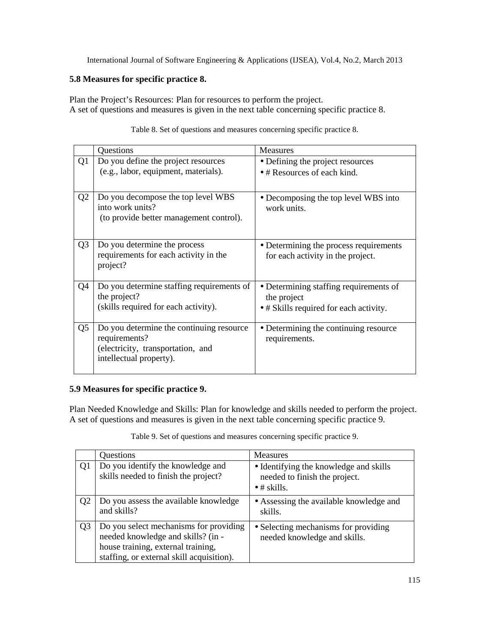#### **5.8 Measures for specific practice 8.**

Plan the Project's Resources: Plan for resources to perform the project. A set of questions and measures is given in the next table concerning specific practice 8.

|                | Questions                                                                                                                 | <b>Measures</b>                                                                                 |
|----------------|---------------------------------------------------------------------------------------------------------------------------|-------------------------------------------------------------------------------------------------|
| Q1             | Do you define the project resources<br>(e.g., labor, equipment, materials).                                               | • Defining the project resources<br>• # Resources of each kind.                                 |
| Q <sub>2</sub> | Do you decompose the top level WBS<br>into work units?<br>(to provide better management control).                         | • Decomposing the top level WBS into<br>work units.                                             |
| Q <sub>3</sub> | Do you determine the process<br>requirements for each activity in the<br>project?                                         | • Determining the process requirements<br>for each activity in the project.                     |
| Q4             | Do you determine staffing requirements of<br>the project?<br>(skills required for each activity).                         | • Determining staffing requirements of<br>the project<br>• # Skills required for each activity. |
| Q <sub>5</sub> | Do you determine the continuing resource<br>requirements?<br>(electricity, transportation, and<br>intellectual property). | • Determining the continuing resource<br>requirements.                                          |

Table 8. Set of questions and measures concerning specific practice 8.

## **5.9 Measures for specific practice 9.**

Plan Needed Knowledge and Skills: Plan for knowledge and skills needed to perform the project. A set of questions and measures is given in the next table concerning specific practice 9.

Table 9. Set of questions and measures concerning specific practice 9.

|                | Questions                                                                                                                                                       | <b>Measures</b>                                                                                |
|----------------|-----------------------------------------------------------------------------------------------------------------------------------------------------------------|------------------------------------------------------------------------------------------------|
| Q1             | Do you identify the knowledge and<br>skills needed to finish the project?                                                                                       | • Identifying the knowledge and skills<br>needed to finish the project.<br>$\bullet$ # skills. |
| Q <sub>2</sub> | Do you assess the available knowledge<br>and skills?                                                                                                            | • Assessing the available knowledge and<br>skills.                                             |
| Q <sub>3</sub> | Do you select mechanisms for providing<br>needed knowledge and skills? (in -<br>house training, external training,<br>staffing, or external skill acquisition). | • Selecting mechanisms for providing<br>needed knowledge and skills.                           |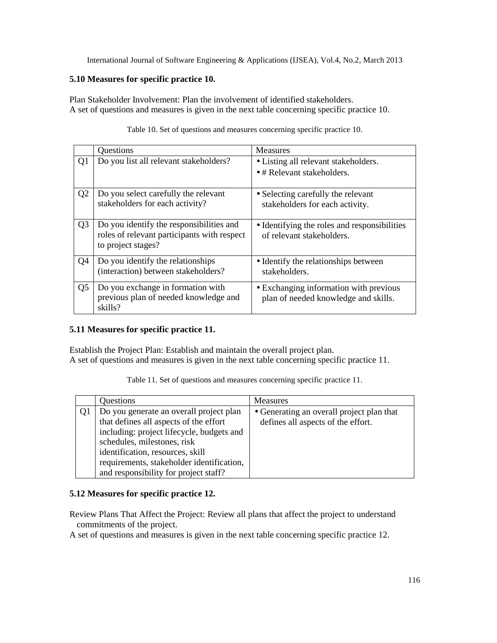#### **5.10 Measures for specific practice 10.**

Plan Stakeholder Involvement: Plan the involvement of identified stakeholders. A set of questions and measures is given in the next table concerning specific practice 10.

|                | Questions                                                                                                     | <b>Measures</b>                                                                |
|----------------|---------------------------------------------------------------------------------------------------------------|--------------------------------------------------------------------------------|
| Q <sub>1</sub> | Do you list all relevant stakeholders?                                                                        | • Listing all relevant stakeholders.<br>$\bullet$ # Relevant stakeholders.     |
| Q <sub>2</sub> | Do you select carefully the relevant<br>stakeholders for each activity?                                       | • Selecting carefully the relevant<br>stakeholders for each activity.          |
| Q <sub>3</sub> | Do you identify the responsibilities and<br>roles of relevant participants with respect<br>to project stages? | • Identifying the roles and responsibilities<br>of relevant stakeholders.      |
| Q <sub>4</sub> | Do you identify the relationships<br>(interaction) between stakeholders?                                      | • Identify the relationships between<br>stakeholders.                          |
| Q <sub>5</sub> | Do you exchange in formation with<br>previous plan of needed knowledge and<br>skills?                         | • Exchanging information with previous<br>plan of needed knowledge and skills. |

Table 10. Set of questions and measures concerning specific practice 10.

#### **5.11 Measures for specific practice 11.**

Establish the Project Plan: Establish and maintain the overall project plan. A set of questions and measures is given in the next table concerning specific practice 11.

|  |  | Table 11. Set of questions and measures concerning specific practice 11. |  |  |
|--|--|--------------------------------------------------------------------------|--|--|
|--|--|--------------------------------------------------------------------------|--|--|

| Questions                                 | <b>Measures</b>                           |
|-------------------------------------------|-------------------------------------------|
| Do you generate an overall project plan   | • Generating an overall project plan that |
| that defines all aspects of the effort    | defines all aspects of the effort.        |
| including: project lifecycle, budgets and |                                           |
| schedules, milestones, risk               |                                           |
| identification, resources, skill          |                                           |
| requirements, stakeholder identification, |                                           |
| and responsibility for project staff?     |                                           |

#### **5.12 Measures for specific practice 12.**

Review Plans That Affect the Project: Review all plans that affect the project to understand commitments of the project.

A set of questions and measures is given in the next table concerning specific practice 12.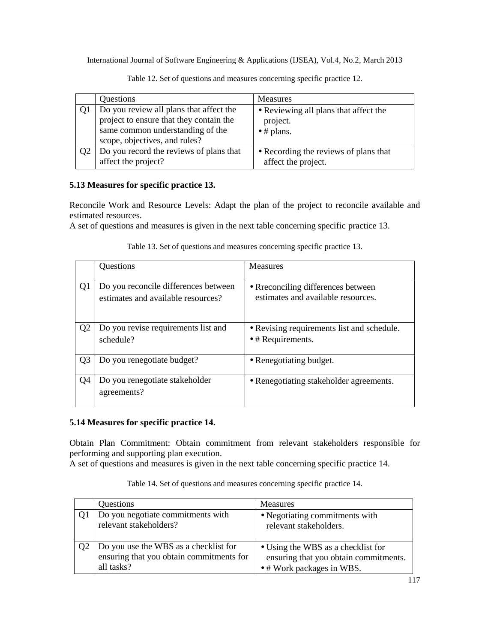| Questions                               | <b>Measures</b>                       |  |  |
|-----------------------------------------|---------------------------------------|--|--|
| Do you review all plans that affect the | • Reviewing all plans that affect the |  |  |
| project to ensure that they contain the | project.                              |  |  |
| same common understanding of the        | $\bullet$ # plans.                    |  |  |
| scope, objectives, and rules?           |                                       |  |  |
| Do you record the reviews of plans that | • Recording the reviews of plans that |  |  |
| affect the project?                     | affect the project.                   |  |  |

Table 12. Set of questions and measures concerning specific practice 12.

## **5.13 Measures for specific practice 13.**

Reconcile Work and Resource Levels: Adapt the plan of the project to reconcile available and estimated resources.

A set of questions and measures is given in the next table concerning specific practice 13.

|                | Questions                                                                  | <b>Measures</b>                                                         |
|----------------|----------------------------------------------------------------------------|-------------------------------------------------------------------------|
| Q <sub>1</sub> | Do you reconcile differences between<br>estimates and available resources? | • Reconciling differences between<br>estimates and available resources. |
| Q <sub>2</sub> | Do you revise requirements list and<br>schedule?                           | • Revising requirements list and schedule.<br>$\bullet$ # Requirements. |
| Q <sub>3</sub> | Do you renegotiate budget?                                                 | • Renegotiating budget.                                                 |
| Q <sub>4</sub> | Do you renegotiate stakeholder<br>agreements?                              | • Renegotiating stakeholder agreements.                                 |

Table 13. Set of questions and measures concerning specific practice 13.

## **5.14 Measures for specific practice 14.**

Obtain Plan Commitment: Obtain commitment from relevant stakeholders responsible for performing and supporting plan execution.

A set of questions and measures is given in the next table concerning specific practice 14.

| Questions                                                                                       | <b>Measures</b>                                                                                          |
|-------------------------------------------------------------------------------------------------|----------------------------------------------------------------------------------------------------------|
| Do you negotiate commitments with<br>relevant stakeholders?                                     | • Negotiating commitments with<br>relevant stakeholders.                                                 |
| Do you use the WBS as a checklist for<br>ensuring that you obtain commitments for<br>all tasks? | • Using the WBS as a checklist for<br>ensuring that you obtain commitments.<br>• # Work packages in WBS. |

Table 14. Set of questions and measures concerning specific practice 14.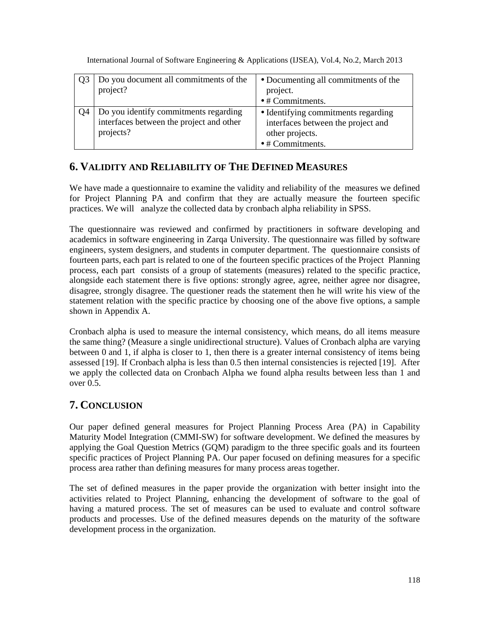| Do you document all commitments of the                                                         | • Documenting all commitments of the                                                         |  |  |
|------------------------------------------------------------------------------------------------|----------------------------------------------------------------------------------------------|--|--|
| project?                                                                                       | project.                                                                                     |  |  |
|                                                                                                | $\bullet$ # Commitments.                                                                     |  |  |
| Do you identify commitments regarding<br>interfaces between the project and other<br>projects? | • Identifying commitments regarding<br>interfaces between the project and<br>other projects. |  |  |
|                                                                                                | $\bullet$ # Commitments.                                                                     |  |  |

# **6. VALIDITY AND RELIABILITY OF THE DEFINED MEASURES**

We have made a questionnaire to examine the validity and reliability of the measures we defined for Project Planning PA and confirm that they are actually measure the fourteen specific practices. We will analyze the collected data by cronbach alpha reliability in SPSS.

The questionnaire was reviewed and confirmed by practitioners in software developing and academics in software engineering in Zarqa University. The questionnaire was filled by software engineers, system designers, and students in computer department. The questionnaire consists of fourteen parts, each part is related to one of the fourteen specific practices of the Project Planning process, each part consists of a group of statements (measures) related to the specific practice, alongside each statement there is five options: strongly agree, agree, neither agree nor disagree, disagree, strongly disagree. The questioner reads the statement then he will write his view of the statement relation with the specific practice by choosing one of the above five options, a sample shown in Appendix A.

Cronbach alpha is used to measure the internal consistency, which means, do all items measure the same thing? (Measure a single unidirectional structure). Values of Cronbach alpha are varying between 0 and 1, if alpha is closer to 1, then there is a greater internal consistency of items being assessed [19]. If Cronbach alpha is less than 0.5 then internal consistencies is rejected [19]. After we apply the collected data on Cronbach Alpha we found alpha results between less than 1 and over 0.5.

# **7. CONCLUSION**

Our paper defined general measures for Project Planning Process Area (PA) in Capability Maturity Model Integration (CMMI-SW) for software development. We defined the measures by applying the Goal Question Metrics (GQM) paradigm to the three specific goals and its fourteen specific practices of Project Planning PA. Our paper focused on defining measures for a specific process area rather than defining measures for many process areas together.

The set of defined measures in the paper provide the organization with better insight into the activities related to Project Planning, enhancing the development of software to the goal of having a matured process. The set of measures can be used to evaluate and control software products and processes. Use of the defined measures depends on the maturity of the software development process in the organization.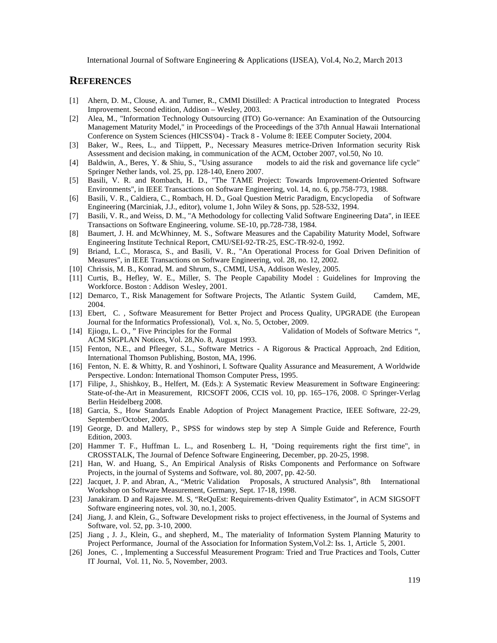#### **REFERENCES**

- [1] Ahern, D. M., Clouse, A. and Turner, R., CMMI Distilled: A Practical introduction to Integrated Process Improvement. Second edition, Addison – Wesley, 2003.
- [2] Alea, M., "Information Technology Outsourcing (ITO) Go-vernance: An Examination of the Outsourcing Management Maturity Model," in Proceedings of the Proceedings of the 37th Annual Hawaii International Conference on System Sciences (HICSS'04) - Track 8 - Volume 8: IEEE Computer Society, 2004.
- [3] Baker, W., Rees, L., and Tiippett, P., Necessary Measures metrice-Driven Information security Risk Assessment and decision making, in communication of the ACM, October 2007, vol.50, No 10.
- [4] Baldwin, A., Beres, Y. & Shiu, S., "Using assurance models to aid the risk and governance life cycle" Springer Nether lands, vol. 25, pp. 128-140, Enero 2007.
- [5] Basili, V. R. and Rombach, H. D., "The TAME Project: Towards Improvement-Oriented Software Environments", in IEEE Transactions on Software Engineering, vol. 14, no. 6, pp.758-773, 1988.
- [6] Basili, V. R., Caldiera, C., Rombach, H. D., Goal Question Metric Paradigm, Encyclopedia of Software Engineering (Marciniak, J.J., editor), volume 1, John Wiley & Sons, pp. 528-532, 1994.
- [7] Basili, V. R., and Weiss, D. M., "A Methodology for collecting Valid Software Engineering Data", in IEEE Transactions on Software Engineering, volume. SE-10, pp.728-738, 1984.
- [8] Baumert, J. H. and McWhinney, M. S., Software Measures and the Capability Maturity Model, Software Engineering Institute Technical Report, CMU/SEI-92-TR-25, ESC-TR-92-0, 1992.
- [9] Briand, L.C., Morasca, S., and Basili, V. R., "An Operational Process for Goal Driven Definition of Measures", in IEEE Transactions on Software Engineering, vol. 28, no. 12, 2002.
- [10] Chrissis, M. B., Konrad, M. and Shrum, S., CMMI, USA, Addison Wesley, 2005.
- [11] Curtis, B., Hefley, W. E., Miller, S. The People Capability Model : Guidelines for Improving the Workforce. Boston : Addison Wesley, 2001.
- [12] Demarco, T., Risk Management for Software Projects, The Atlantic System Guild, Camdem, ME, 2004.
- [13] Ebert, C. , Software Measurement for Better Project and Process Quality, UPGRADE (the European Journal for the Informatics Professional), Vol. x, No. 5, October, 2009.
- [14] Ejiogu, L. O., " Five Principles for the Formal Validation of Models of Software Metrics ", ACM SIGPLAN Notices, Vol. 28,No. 8, August 1993.
- [15] Fenton, N.E., and Pfleeger, S.L., Software Metrics A Rigorous & Practical Approach, 2nd Edition, International Thomson Publishing, Boston, MA, 1996.
- [16] Fenton, N. E. & Whitty, R. and Yoshinori, I. Software Quality Assurance and Measurement, A Worldwide Perspective. London: International Thomson Computer Press, 1995.
- [17] Filipe, J., Shishkoy, B., Helfert, M. (Eds.): A Systematic Review Measurement in Software Engineering: State-of-the-Art in Measurement, RICSOFT 2006, CCIS vol. 10, pp. 165–176, 2008. © Springer-Verlag Berlin Heidelberg 2008.
- [18] Garcia, S., How Standards Enable Adoption of Project Management Practice, IEEE Software, 22-29, September/October, 2005.
- [19] George, D. and Mallery, P., SPSS for windows step by step A Simple Guide and Reference, Fourth Edition, 2003.
- [20] Hammer T. F., Huffman L. L., and Rosenberg L. H, "Doing requirements right the first time", in CROSSTALK, The Journal of Defence Software Engineering, December, pp. 20-25, 1998.
- [21] Han, W. and Huang, S., An Empirical Analysis of Risks Components and Performance on Software Projects, in the journal of Systems and Software, vol. 80, 2007, pp. 42-50.
- [22] Jacquet, J. P. and Abran, A., "Metric Validation Proposals, A structured Analysis", 8th International Workshop on Software Measurement, Germany, Sept. 17-18, 1998.
- [23] Janakiram. D and Rajasree. M. S, "ReQuEst: Requirements-driven Quality Estimator", in ACM SIGSOFT Software engineering notes, vol. 30, no.1, 2005.
- [24] Jiang, J. and Klein, G., Software Development risks to project effectiveness, in the Journal of Systems and Software, vol. 52, pp. 3-10, 2000.
- [25] Jiang , J. J., Klein, G., and shepherd, M., The materiality of Information System Planning Maturity to Project Performance, Journal of the Association for Information System,Vol.2: Iss. 1, Article 5, 2001.
- [26] Jones, C. , Implementing a Successful Measurement Program: Tried and True Practices and Tools, Cutter IT Journal, Vol. 11, No. 5, November, 2003.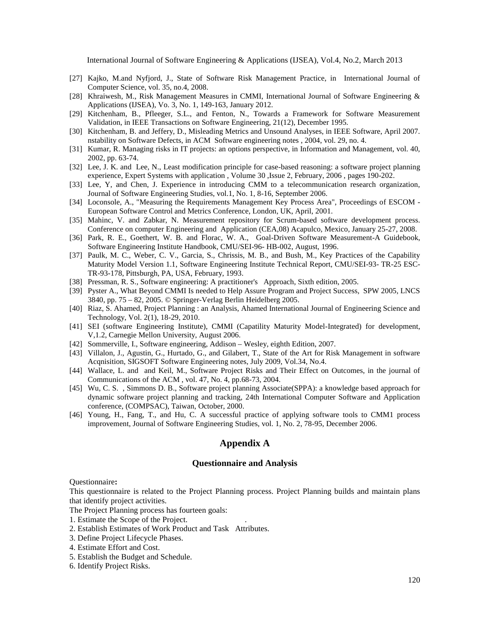- [27] Kajko, M.and Nyfjord, J., State of Software Risk Management Practice, in International Journal of Computer Science, vol. 35, no.4, 2008.
- [28] Khraiwesh, M., Risk Management Measures in CMMI, International Journal of Software Engineering & Applications (IJSEA), Vo. 3, No. 1, 149-163, January 2012.
- [29] Kitchenham, B., Pfleeger, S.L., and Fenton, N., Towards a Framework for Software Measurement Validation, in IEEE Transactions on Software Engineering, 21(12), December 1995.
- [30] Kitchenham, B. and Jeffery, D., Misleading Metrics and Unsound Analyses, in IEEE Software, April 2007. nstability on Software Defects, in ACM Software engineering notes , 2004, vol. 29, no. 4.
- [31] Kumar, R. Managing risks in IT projects: an options perspective, in Information and Management, vol. 40, 2002, pp. 63-74.
- [32] Lee, J. K. and Lee, N., Least modification principle for case-based reasoning: a software project planning experience, Expert Systems with application , Volume 30 ,Issue 2, February, 2006 , pages 190-202.
- [33] Lee, Y, and Chen, J. Experience in introducing CMM to a telecommunication research organization, Journal of Software Engineering Studies, vol.1, No. 1, 8-16, September 2006.
- [34] Loconsole, A., "Measuring the Requirements Management Key Process Area", Proceedings of ESCOM European Software Control and Metrics Conference, London, UK, April, 2001.
- [35] Mahinc, V. and Zabkar, N. Measurement repository for Scrum-based software development process. Conference on computer Engineering and Application (CEA,08) Acapulco, Mexico, January 25-27, 2008.
- [36] Park, R. E., Goethert, W. B. and Florac, W. A., Goal-Driven Software Measurement-A Guidebook, Software Engineering Institute Handbook, CMU/SEI-96- HB-002, August, 1996.
- [37] Paulk, M. C., Weber, C. V., Garcia, S., Chrissis, M. B., and Bush, M., Key Practices of the Capability Maturity Model Version 1.1, Software Engineering Institute Technical Report, CMU/SEI-93- TR-25 ESC-TR-93-178, Pittsburgh, PA, USA, February, 1993.
- [38] Pressman, R. S., Software engineering: A practitioner's Approach, Sixth edition, 2005.
- [39] Pyster A., What Beyond CMMI Is needed to Help Assure Program and Project Success, SPW 2005, LNCS 3840, pp. 75 – 82, 2005. © Springer-Verlag Berlin Heidelberg 2005.
- [40] Riaz, S. Ahamed, Project Planning : an Analysis, Ahamed International Journal of Engineering Science and Technology, Vol. 2(1), 18-29, 2010.
- [41] SEI (software Engineering Institute), CMMI (Capatility Maturity Model-Integrated) for development, V,1.2, Carnegie Mellon University, August 2006.
- [42] Sommerville, I., Software engineering, Addison Wesley, eighth Edition, 2007.
- [43] Villalon, J., Agustin, G., Hurtado, G., and Gilabert, T., State of the Art for Risk Management in software Acqnisition, SIGSOFT Software Engineering notes, July 2009, Vol.34, No.4.
- [44] Wallace, L. and and Keil, M., Software Project Risks and Their Effect on Outcomes, in the journal of Communications of the ACM , vol. 47, No. 4, pp.68-73, 2004.
- [45] Wu, C. S. , Simmons D. B., Software project planning Associate(SPPA): a knowledge based approach for dynamic software project planning and tracking, 24th International Computer Software and Application conference, (COMPSAC), Taiwan, October, 2000.
- [46] Young, H., Fang, T., and Hu, C. A successful practice of applying software tools to CMM1 process improvement, Journal of Software Engineering Studies, vol. 1, No. 2, 78-95, December 2006.

#### **Appendix A**

#### **Questionnaire and Analysis**

#### Questionnaire**:**

This questionnaire is related to the Project Planning process. Project Planning builds and maintain plans that identify project activities.

- The Project Planning process has fourteen goals:
- 1. Estimate the Scope of the Project. .
- 2. Establish Estimates of Work Product and Task Attributes.
- 3. Define Project Lifecycle Phases.
- 4. Estimate Effort and Cost.
- 5. Establish the Budget and Schedule.
- 6. Identify Project Risks.